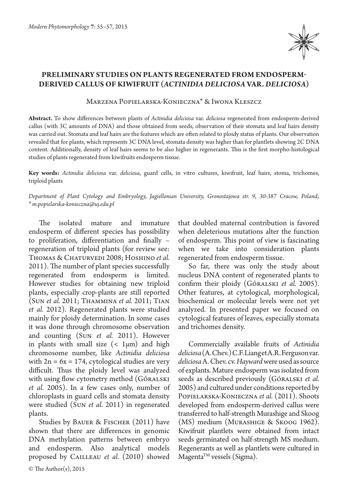

## **Preliminary studies on plants regenerated from endospermderived callus of kiwifruit (***Actinidia deliciosa* **var.** *deliciosa***)**

Marzena Popielarska-Konieczna\* & Iwona Kleszcz

**Abstract.** To show differences between plants of *Actinidia deliciosa* var. *deliciosa* regenerated from endosperm-derived callus (with 3C amounts of DNA) and those obtained from seeds, observation of their stomata and leaf hairs density was carried out. Stomata and leaf hairs are the features which are often related to ploidy status of plants. Our observation revealed that for plants, which represents 3C DNA level, stomata density was higher than for plantlets showing 2C DNA content. Additionally, density of leaf hairs seems to be also higher in regenerants. This is the first morpho-histological studies of plants regenerated from kiwifruits endosperm tissue.

**Key words:** *Actinidia deliciosa* var. *deliciosa*, guard cells, in vitro cultures, kiwifruit, leaf hairs, stoma, trichomes, triploid plants

*Department of Plant Cytology and Embryology, Jagiellonian University, Gronostajowa str. 9, 30-387 Cracow, Poland; \* m.popielarska-konieczna@uj.edu.pl*

The isolated mature and immature endosperm of different species has possibility to proliferation, differentiation and finally – regeneration of triploid plants (for review see: THOMAS & CHATURVEDI 2008; HOSHINO et al. 2011). The number of plant species successfully regenerated from endosperm is limited. However studies for obtaining new triploid plants, especially crop-plants are still reported (Sun *et al.* 2011; Thammina *et al.* 2011; Tian *et al.* 2012). Regenerated plants were studied mainly for ploidy determination. In some cases it was done through chromosome observation and counting (Sun *et al.* 2011). However in plants with small size  $\left($  < 1 $\mu$ m) and high chromosome number, like *Actinidia deliciosa*  with  $2n = 6x = 174$ , cytological studies are very difficult. Thus the ploidy level was analyzed with using flow cytometry method (Góralski *et al.* 2005). In a few cases only, number of chloroplasts in guard cells and stomata density were studied (Sun *et al.* 2011) in regenerated plants.

Studies by BAUER & FISCHER (2011) have shown that there are differences in genomic DNA methylation patterns between embryo and endosperm. Also analytical models proposed by Cailleau *et al.* (2010) showed that doubled maternal contribution is favored when deleterious mutations alter the function of endosperm. This point of view is fascinating when we take into consideration plants regenerated from endosperm tissue.

So far, there was only the study about nucleus DNA content of regenerated plants to confirm their ploidy (Góralski *et al.* 2005). Other features, at cytological, morphological, biochemical or molecular levels were not yet analyzed. In presented paper we focused on cytological features of leaves, especially stomata and trichomes density.

Commercially available fruits of *Actinidia deliciosa* (A. Chev.) C.F. Liang et A.R. Ferguson var. *deliciosa* A. Chev. cv. *Hayward* were used as source of explants. Mature endosperm was isolated from seeds as described previously (Góralski *et al.* 2005) and cultured under conditions reported by Popielarska-Konieczna *et al.* (2011). Shoots developed from endosperm-derived callus were transferred to half-strength Murashige and Skoog (MS) medium (Murashige & Skoog 1962). Kiwifruit plantlets were obtained from intact seeds germinated on half-strength MS medium. Regenerants as well as plantlets were cultured in  $M$ agenta $^{TM}$  vessels (Sigma).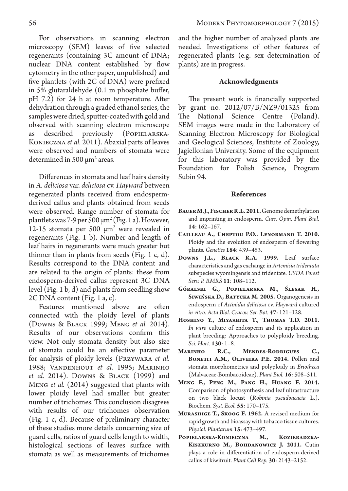For observations in scanning electron microscopy (SEM) leaves of five selected regenerants (containing 3C amount of DNA; nuclear DNA content established by flow cytometry in the other paper, unpublished) and five plantlets (with 2C of DNA) were prefixed in 5% glutaraldehyde (0.1 m phosphate buffer, pH 7.2) for 24 h at room temperature. After dehydration through a graded ethanol series, the samples were dried, sputter-coated with gold and observed with scanning electron microscope as described previously (Popielarska-Konieczna *et al.* 2011). Abaxial parts of leaves were observed and numbers of stomata were determined in 500  $\mu$ m<sup>2</sup> areas.

Differences in stomata and leaf hairs density in *A. deliciosa* var. *deliciosa* cv. *Hayward* between regenerated plants received from endospermderived callus and plants obtained from seeds were observed. Range number of stomata for plantlets was 7-9 per 500 µm2 (Fig. 1 a). However, 12-15 stomata per 500 µm2 were revealed in regenerants (Fig. 1 b). Number and length of leaf hairs in regenerants were much greater but thinner than in plants from seeds (Fig. 1 c, d). Results correspond to the DNA content and are related to the origin of plants: these from endosperm-derived callus represent 3C DNA level (Fig. 1 b, d) and plants from seedling show 2C DNA content (Fig. 1 a, c).

Features mentioned above are often connected with the ploidy level of plants (Downs & Black 1999; Meng *et al.* 2014). Results of our observations confirm this view. Not only stomata density but also size of stomata could be an effective parameter for analysis of ploidy levels (Przywara *et al.* 1988; Vandenhout *et al.* 1995; Marinho *et al.* 2014). Downs & Black (1999) and Meng *et al.* (2014) suggested that plants with lower ploidy level had smaller but greater number of trichomes. This conclusion disagrees with results of our trichomes observation (Fig. 1 c, d). Because of preliminary character of these studies more details concerning size of guard cells, ratios of guard cells length to width, histological sections of leaves surface with stomata as well as measurements of trichomes and the higher number of analyzed plants are needed. Investigations of other features of regenerated plants (e.g. sex determination of plants) are in progress.

## **Acknowledgments**

The present work is financially supported by grant no. 2012/07/B/NZ9/01325 from The National Science Centre (Poland). SEM images were made in the Laboratory of Scanning Electron Microscopy for Biological and Geological Sciences, Institute of Zoology, Jagiellonian University. Some of the equipment for this laboratory was provided by the Foundation for Polish Science, Program Subin 94.

## **References**

- **Bauer M.J., Fischer R.L. 2011.** Genome demethylation and imprinting in endosperm. *Curr. Opin. Plant Biol.*  **14**: 162–167.
- **Cailleau A., Cheptou P.O., Lenormand T. 2010.**  Ploidy and the evolution of endosperm of flowering plants. *Genetics* **184**: 439–453.
- **Downs J.L., Black R.A. 1999.** Leaf surface characteristics and gas exchange in *Artemisia tridentata* subspecies wyomingensis and tridentate. *USDA Forest Serv. P. RMRS* **11**: 108–112.
- **Góralski G., Popielarska M., Ślesak H., Siwińska D., Batycka M. 2005.** Organogenesis in endosperm of *Actinidia deliciosa* cv. *Hayward* cultured *in vitro*. *Acta Biol. Cracov. Ser. Bot.* **47**: 121–128.
- **Hoshino Y., Miyashita T., Thomas T.D. 2011.** *In vitro* culture of endosperm and its application in plant breeding: Approaches to polyploidy breeding. *Sci. Hort.* **130**: 1–8.
- **Marinho R.C., Mendes-Rodrigues C., Bonetti A.M., Oliveira P.E. 2014.** Pollen and stomata morphometrics and polyploidy in *Eriotheca* (Malvaceae-Bombacoideae). *Plant Biol.* **16**: 508–511.
- **Meng F., Peng M., Pang H., Huang F. 2014.**  Comparison of photosynthesis and leaf ultrastructure on two black locust (*Robinia pseudoacacia* L.). Biochem. *Syst. Ecol.* **55**: 170–175.
- **Murashige T., Skoog F. 1962.** A revised medium for rapid growth and bioassay with tobacco tissue cultures. *Physiol. Plantarum* **15**: 473–497.
- **Popielarska-Konieczna M., Kozieradzka-Kiszkurno M., Bohdanowicz J. 2011.** Cutin plays a role in differentiation of endosperm-derived callus of kiwifruit. *Plant Cell Rep.* **30**: 2143–2152.